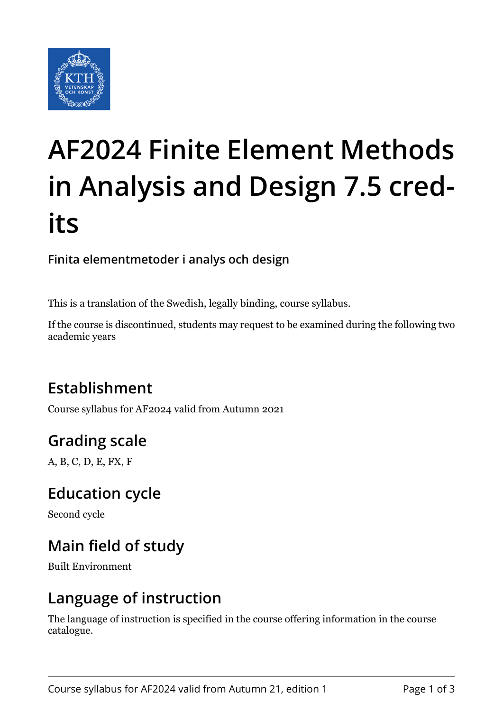

# **AF2024 Finite Element Methods in Analysis and Design 7.5 credits**

#### **Finita elementmetoder i analys och design**

This is a translation of the Swedish, legally binding, course syllabus.

If the course is discontinued, students may request to be examined during the following two academic years

# **Establishment**

Course syllabus for AF2024 valid from Autumn 2021

# **Grading scale**

A, B, C, D, E, FX, F

### **Education cycle**

Second cycle

# **Main field of study**

Built Environment

### **Language of instruction**

The language of instruction is specified in the course offering information in the course catalogue.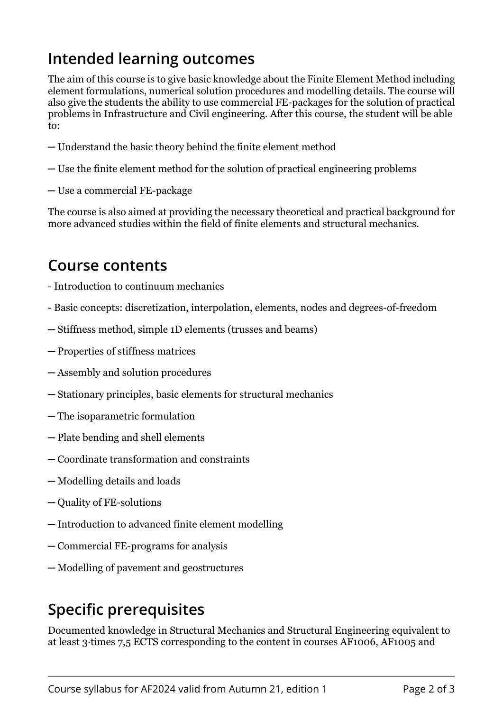# **Intended learning outcomes**

The aim of this course is to give basic knowledge about the Finite Element Method including element formulations, numerical solution procedures and modelling details. The course will also give the students the ability to use commercial FE-packages for the solution of practical problems in Infrastructure and Civil engineering. After this course, the student will be able to:

- ─ Understand the basic theory behind the finite element method
- ─ Use the finite element method for the solution of practical engineering problems
- ─ Use a commercial FE-package

The course is also aimed at providing the necessary theoretical and practical background for more advanced studies within the field of finite elements and structural mechanics.

#### **Course contents**

- Introduction to continuum mechanics
- Basic concepts: discretization, interpolation, elements, nodes and degrees-of-freedom
- ─ Stiffness method, simple 1D elements (trusses and beams)
- ─ Properties of stiffness matrices
- ─ Assembly and solution procedures
- ─ Stationary principles, basic elements for structural mechanics
- ─ The isoparametric formulation
- ─ Plate bending and shell elements
- ─ Coordinate transformation and constraints
- ─ Modelling details and loads
- ─ Quality of FE-solutions
- ─ Introduction to advanced finite element modelling
- ─ Commercial FE-programs for analysis
- ─ Modelling of pavement and geostructures

# **Specific prerequisites**

Documented knowledge in Structural Mechanics and Structural Engineering equivalent to at least 3 times 7.5 ECTS corresponding to the content in courses AF1006, AF1005 and